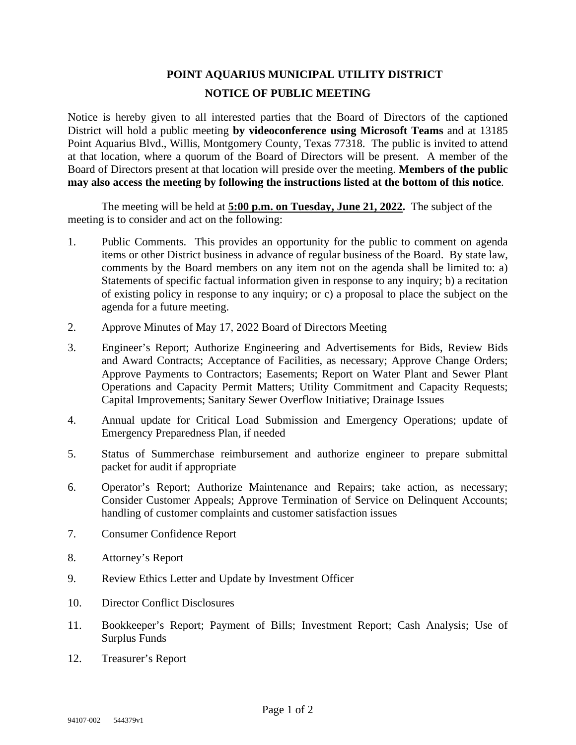## **POINT AQUARIUS MUNICIPAL UTILITY DISTRICT NOTICE OF PUBLIC MEETING**

Notice is hereby given to all interested parties that the Board of Directors of the captioned District will hold a public meeting **by videoconference using Microsoft Teams** and at 13185 Point Aquarius Blvd., Willis, Montgomery County, Texas 77318. The public is invited to attend at that location, where a quorum of the Board of Directors will be present. A member of the Board of Directors present at that location will preside over the meeting. **Members of the public may also access the meeting by following the instructions listed at the bottom of this notice**.

The meeting will be held at **5:00 p.m. on Tuesday, June 21, 2022.** The subject of the meeting is to consider and act on the following:

- 1. Public Comments. This provides an opportunity for the public to comment on agenda items or other District business in advance of regular business of the Board. By state law, comments by the Board members on any item not on the agenda shall be limited to: a) Statements of specific factual information given in response to any inquiry; b) a recitation of existing policy in response to any inquiry; or c) a proposal to place the subject on the agenda for a future meeting.
- 2. Approve Minutes of May 17, 2022 Board of Directors Meeting
- 3. Engineer's Report; Authorize Engineering and Advertisements for Bids, Review Bids and Award Contracts; Acceptance of Facilities, as necessary; Approve Change Orders; Approve Payments to Contractors; Easements; Report on Water Plant and Sewer Plant Operations and Capacity Permit Matters; Utility Commitment and Capacity Requests; Capital Improvements; Sanitary Sewer Overflow Initiative; Drainage Issues
- 4. Annual update for Critical Load Submission and Emergency Operations; update of Emergency Preparedness Plan, if needed
- 5. Status of Summerchase reimbursement and authorize engineer to prepare submittal packet for audit if appropriate
- 6. Operator's Report; Authorize Maintenance and Repairs; take action, as necessary; Consider Customer Appeals; Approve Termination of Service on Delinquent Accounts; handling of customer complaints and customer satisfaction issues
- 7. Consumer Confidence Report
- 8. Attorney's Report
- 9. Review Ethics Letter and Update by Investment Officer
- 10. Director Conflict Disclosures
- 11. Bookkeeper's Report; Payment of Bills; Investment Report; Cash Analysis; Use of Surplus Funds
- 12. Treasurer's Report